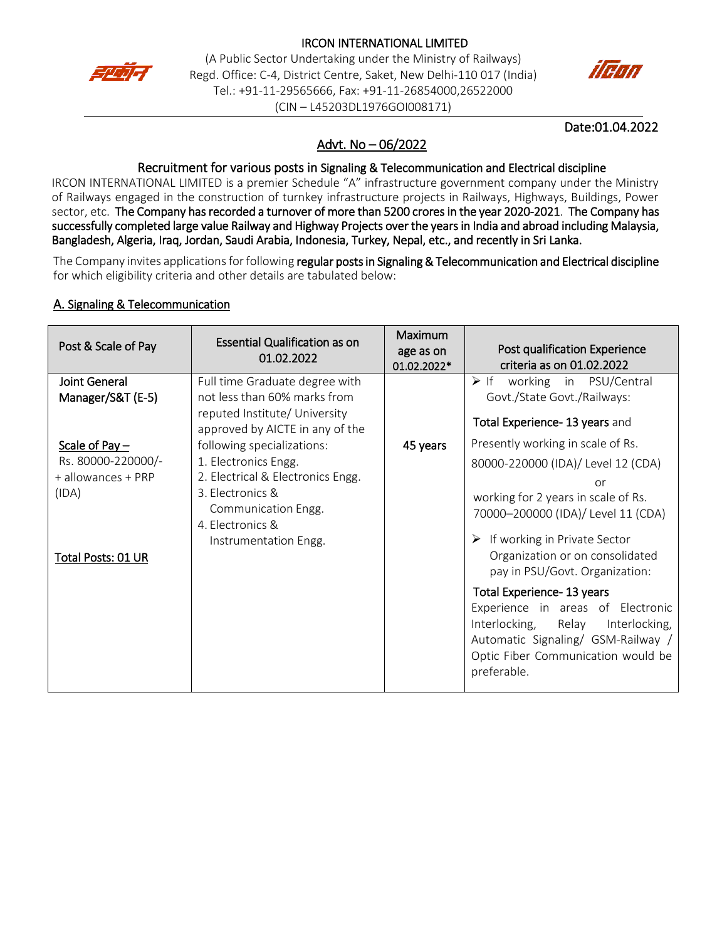

#### IRCON INTERNATIONAL LIMITED

(A Public Sector Undertaking under the Ministry of Railways) Regd. Office: C-4, District Centre, Saket, New Delhi-110 017 (India) Tel.: +91-11-29565666, Fax: +91-11-26854000,26522000 (CIN – L45203DL1976GOI008171)



#### Date:01.04.2022

# Advt. No – 06/2022

#### Recruitment for various posts in Signaling & Telecommunication and Electrical discipline

IRCON INTERNATIONAL LIMITED is a premier Schedule "A" infrastructure government company under the Ministry of Railways engaged in the construction of turnkey infrastructure projects in Railways, Highways, Buildings, Power sector, etc. The Company has recorded a turnover of more than 5200 crores in the year 2020-2021. The Company has successfully completed large value Railway and Highway Projects over the years in India and abroad including Malaysia, Bangladesh, Algeria, Iraq, Jordan, Saudi Arabia, Indonesia, Turkey, Nepal, etc., and recently in Sri Lanka.

The Company invites applications for following regular posts in Signaling & Telecommunication and Electrical discipline for which eligibility criteria and other details are tabulated below:

#### A. Signaling & Telecommunication

| Post & Scale of Pay                                                                         | <b>Essential Qualification as on</b><br>01.02.2022                                                                                                                              | Maximum<br>age as on<br>01.02.2022* | Post qualification Experience<br>criteria as on 01.02.2022                                                                                                                                                                                                                                                                                                                                                                                                            |
|---------------------------------------------------------------------------------------------|---------------------------------------------------------------------------------------------------------------------------------------------------------------------------------|-------------------------------------|-----------------------------------------------------------------------------------------------------------------------------------------------------------------------------------------------------------------------------------------------------------------------------------------------------------------------------------------------------------------------------------------------------------------------------------------------------------------------|
| <b>Joint General</b><br>Manager/S&T (E-5)                                                   | Full time Graduate degree with<br>not less than 60% marks from<br>reputed Institute/ University<br>approved by AICTE in any of the                                              |                                     | working in PSU/Central<br>$\triangleright$ If<br>Govt./State Govt./Railways:<br>Total Experience-13 years and                                                                                                                                                                                                                                                                                                                                                         |
| Scale of Pay $-$<br>Rs. 80000-220000/-<br>+ allowances + PRP<br>(IDA)<br>Total Posts: 01 UR | following specializations:<br>1. Electronics Engg.<br>2. Electrical & Electronics Engg.<br>3. Electronics &<br>Communication Engg.<br>4. Electronics &<br>Instrumentation Engg. | 45 years                            | Presently working in scale of Rs.<br>80000-220000 (IDA)/ Level 12 (CDA)<br>or<br>working for 2 years in scale of Rs.<br>70000-200000 (IDA)/ Level 11 (CDA)<br>If working in Private Sector<br>Organization or on consolidated<br>pay in PSU/Govt. Organization:<br>Total Experience- 13 years<br>Experience in areas of Electronic<br>Interlocking, Relay<br>Interlocking,<br>Automatic Signaling/ GSM-Railway /<br>Optic Fiber Communication would be<br>preferable. |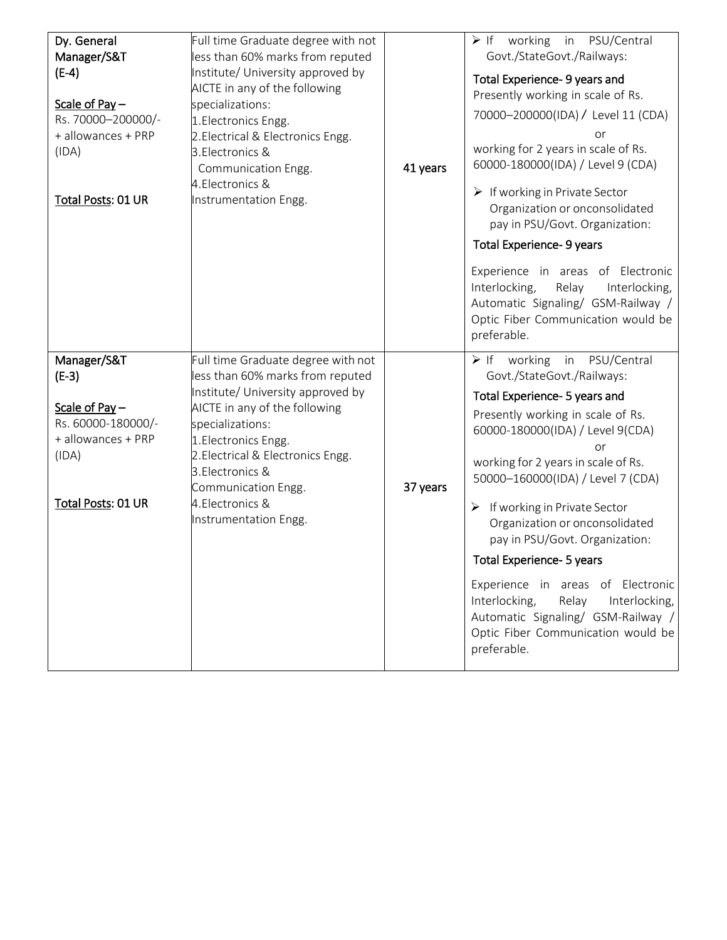| Dy. General<br>Manager/S&T<br>$(E-4)$<br>Scale of Pay-<br>Rs. 70000-200000/-<br>+ allowances + PRP<br>(IDA)<br>Total Posts: 01 UR | Full time Graduate degree with not<br>less than 60% marks from reputed<br>Institute/ University approved by<br>AICTE in any of the following<br>specializations:<br>1. Electronics Engg.<br>2. Electrical & Electronics Engg.<br>3. Electronics &<br>Communication Engg.<br>4. Electronics &<br>Instrumentation Engg. | 41 years | $\triangleright$ If working in PSU/Central<br>Govt./StateGovt./Railways:<br>Total Experience- 9 years and<br>Presently working in scale of Rs.<br>70000-200000(IDA) / Level 11 (CDA)<br>or<br>working for 2 years in scale of Rs.<br>60000-180000(IDA) / Level 9 (CDA)<br>$\triangleright$ If working in Private Sector<br>Organization or onconsolidated<br>pay in PSU/Govt. Organization:<br>Total Experience- 9 years<br>Experience in areas of Electronic<br>Interlocking,<br>Relay<br>Interlocking,<br>Automatic Signaling/ GSM-Railway /<br>Optic Fiber Communication would be<br>preferable. |
|-----------------------------------------------------------------------------------------------------------------------------------|-----------------------------------------------------------------------------------------------------------------------------------------------------------------------------------------------------------------------------------------------------------------------------------------------------------------------|----------|-----------------------------------------------------------------------------------------------------------------------------------------------------------------------------------------------------------------------------------------------------------------------------------------------------------------------------------------------------------------------------------------------------------------------------------------------------------------------------------------------------------------------------------------------------------------------------------------------------|
| Manager/S&T<br>$(E-3)$<br>Scale of Pay $-$<br>Rs. 60000-180000/-<br>+ allowances + PRP<br>(IDA)<br>Total Posts: 01 UR             | Full time Graduate degree with not<br>less than 60% marks from reputed<br>Institute/ University approved by<br>AICTE in any of the following<br>specializations:<br>1. Electronics Engg.<br>2. Electrical & Electronics Engg.<br>3. Electronics &<br>Communication Engg.<br>4. Electronics &<br>Instrumentation Engg. | 37 years | $\triangleright$ If working<br>PSU/Central<br>in<br>Govt./StateGovt./Railways:<br>Total Experience- 5 years and<br>Presently working in scale of Rs.<br>60000-180000(IDA) / Level 9(CDA)<br>or<br>working for 2 years in scale of Rs.<br>50000-160000(IDA) / Level 7 (CDA)<br>If working in Private Sector<br>➤<br>Organization or onconsolidated<br>pay in PSU/Govt. Organization:<br>Total Experience- 5 years<br>Experience in areas of Electronic<br>Interlocking,<br>Relay<br>Interlocking,<br>Automatic Signaling/ GSM-Railway /<br>Optic Fiber Communication would be<br>preferable.         |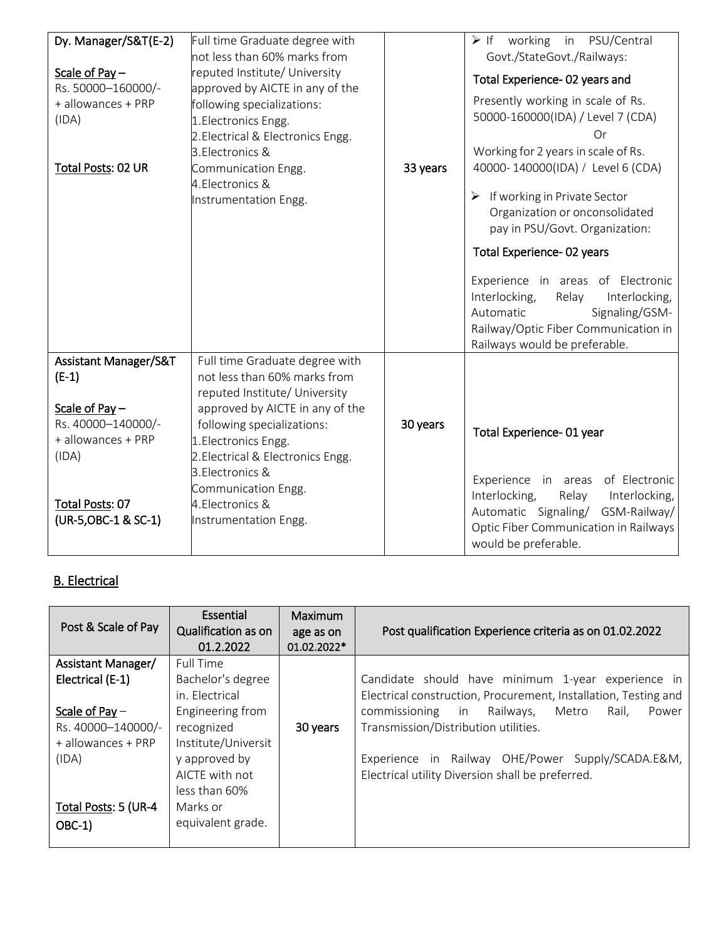| Dy. Manager/S&T(E-2)<br>Scale of Pay $-$<br>Rs. 50000-160000/-<br>+ allowances + PRP<br>(IDA)<br>Total Posts: 02 UR                                             | Full time Graduate degree with<br>not less than 60% marks from<br>reputed Institute/ University<br>approved by AICTE in any of the<br>following specializations:<br>1. Electronics Engg.<br>2. Electrical & Electronics Engg.<br>3. Electronics &<br>Communication Engg.<br>4. Electronics &<br>Instrumentation Engg. | 33 years | working in PSU/Central<br>$\triangleright$ If<br>Govt./StateGovt./Railways:<br>Total Experience- 02 years and<br>Presently working in scale of Rs.<br>50000-160000(IDA) / Level 7 (CDA)<br>Or<br>Working for 2 years in scale of Rs.<br>40000-140000(IDA) / Level 6 (CDA)<br>If working in Private Sector<br>➤<br>Organization or onconsolidated<br>pay in PSU/Govt. Organization:<br>Total Experience-02 years<br>Experience in areas of Electronic<br>Interlocking,<br>Relay<br>Interlocking,<br>Signaling/GSM-<br>Automatic<br>Railway/Optic Fiber Communication in<br>Railways would be preferable. |
|-----------------------------------------------------------------------------------------------------------------------------------------------------------------|-----------------------------------------------------------------------------------------------------------------------------------------------------------------------------------------------------------------------------------------------------------------------------------------------------------------------|----------|---------------------------------------------------------------------------------------------------------------------------------------------------------------------------------------------------------------------------------------------------------------------------------------------------------------------------------------------------------------------------------------------------------------------------------------------------------------------------------------------------------------------------------------------------------------------------------------------------------|
| <b>Assistant Manager/S&amp;T</b><br>$(E-1)$<br>Scale of Pay $-$<br>Rs. 40000-140000/-<br>+ allowances + PRP<br>(IDA)<br>Total Posts: 07<br>(UR-5, OBC-1 & SC-1) | Full time Graduate degree with<br>not less than 60% marks from<br>reputed Institute/ University<br>approved by AICTE in any of the<br>following specializations:<br>1. Electronics Engg.<br>2. Electrical & Electronics Engg.<br>3. Electronics &<br>Communication Engg.<br>4. Electronics &<br>Instrumentation Engg. | 30 years | Total Experience- 01 year<br>Experience in areas of Electronic<br>Interlocking,<br>Relay<br>Interlocking,<br>Automatic Signaling/ GSM-Railway/<br>Optic Fiber Communication in Railways<br>would be preferable.                                                                                                                                                                                                                                                                                                                                                                                         |

# B. Electrical

| Post & Scale of Pay                                                                                                                                | Essential<br><b>Qualification as on</b><br>01.2.2022                                                                                                                                           | <b>Maximum</b><br>age as on<br>01.02.2022* | Post qualification Experience criteria as on 01.02.2022                                                                                                                                                                                                                                                                            |
|----------------------------------------------------------------------------------------------------------------------------------------------------|------------------------------------------------------------------------------------------------------------------------------------------------------------------------------------------------|--------------------------------------------|------------------------------------------------------------------------------------------------------------------------------------------------------------------------------------------------------------------------------------------------------------------------------------------------------------------------------------|
| Assistant Manager/<br>Electrical (E-1)<br>Scale of Pay $-$<br>Rs. 40000-140000/-<br>+ allowances + PRP<br>(IDA)<br>Total Posts: 5 (UR-4<br>$OBC-1$ | Full Time<br>Bachelor's degree<br>in. Electrical<br>Engineering from<br>recognized<br>Institute/Universit<br>y approved by<br>AICTE with not<br>less than 60%<br>Marks or<br>equivalent grade. | 30 years                                   | Candidate should have minimum 1-year experience in<br>Electrical construction, Procurement, Installation, Testing and<br>commissioning<br>in Railways,<br>Metro<br>Power<br>Rail.<br>Transmission/Distribution utilities.<br>Experience in Railway OHE/Power Supply/SCADA.E&M,<br>Electrical utility Diversion shall be preferred. |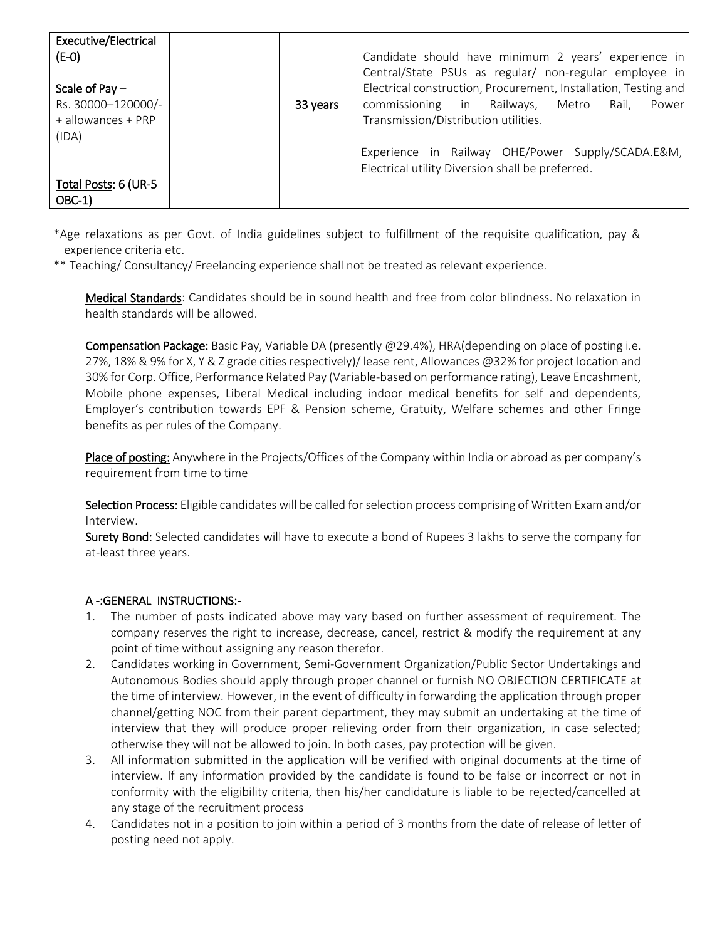| <b>Executive/Electrical</b><br>$(E-O)$<br>Scale of Pay $-$<br>Rs. 30000-120000/-<br>+ allowances + PRP<br>(IDA) | 33 years | Candidate should have minimum 2 years' experience in<br>Central/State PSUs as regular/ non-regular employee in<br>Electrical construction, Procurement, Installation, Testing and<br>commissioning in Railways,<br>Metro<br>Rail.<br>Power<br>Transmission/Distribution utilities.<br>Experience in Railway OHE/Power Supply/SCADA.E&M,<br>Electrical utility Diversion shall be preferred. |
|-----------------------------------------------------------------------------------------------------------------|----------|---------------------------------------------------------------------------------------------------------------------------------------------------------------------------------------------------------------------------------------------------------------------------------------------------------------------------------------------------------------------------------------------|
| Total Posts: 6 (UR-5<br>$OBC-1$                                                                                 |          |                                                                                                                                                                                                                                                                                                                                                                                             |

\*Age relaxations as per Govt. of India guidelines subject to fulfillment of the requisite qualification, pay & experience criteria etc.

\*\* Teaching/ Consultancy/ Freelancing experience shall not be treated as relevant experience.

Medical Standards: Candidates should be in sound health and free from color blindness. No relaxation in health standards will be allowed.

Compensation Package: Basic Pay, Variable DA (presently @29.4%), HRA(depending on place of posting i.e. 27%, 18% & 9% for X, Y & Z grade cities respectively)/ lease rent, Allowances @32% for project location and 30% for Corp. Office, Performance Related Pay (Variable-based on performance rating), Leave Encashment, Mobile phone expenses, Liberal Medical including indoor medical benefits for self and dependents, Employer's contribution towards EPF & Pension scheme, Gratuity, Welfare schemes and other Fringe benefits as per rules of the Company.

Place of posting: Anywhere in the Projects/Offices of the Company within India or abroad as per company's requirement from time to time

Selection Process: Eligible candidates will be called for selection process comprising of Written Exam and/or Interview.

Surety Bond: Selected candidates will have to execute a bond of Rupees 3 lakhs to serve the company for at-least three years.

#### A -:GENERAL INSTRUCTIONS:-

- 1. The number of posts indicated above may vary based on further assessment of requirement. The company reserves the right to increase, decrease, cancel, restrict & modify the requirement at any point of time without assigning any reason therefor.
- 2. Candidates working in Government, Semi-Government Organization/Public Sector Undertakings and Autonomous Bodies should apply through proper channel or furnish NO OBJECTION CERTIFICATE at the time of interview. However, in the event of difficulty in forwarding the application through proper channel/getting NOC from their parent department, they may submit an undertaking at the time of interview that they will produce proper relieving order from their organization, in case selected; otherwise they will not be allowed to join. In both cases, pay protection will be given.
- 3. All information submitted in the application will be verified with original documents at the time of interview. If any information provided by the candidate is found to be false or incorrect or not in conformity with the eligibility criteria, then his/her candidature is liable to be rejected/cancelled at any stage of the recruitment process
- 4. Candidates not in a position to join within a period of 3 months from the date of release of letter of posting need not apply.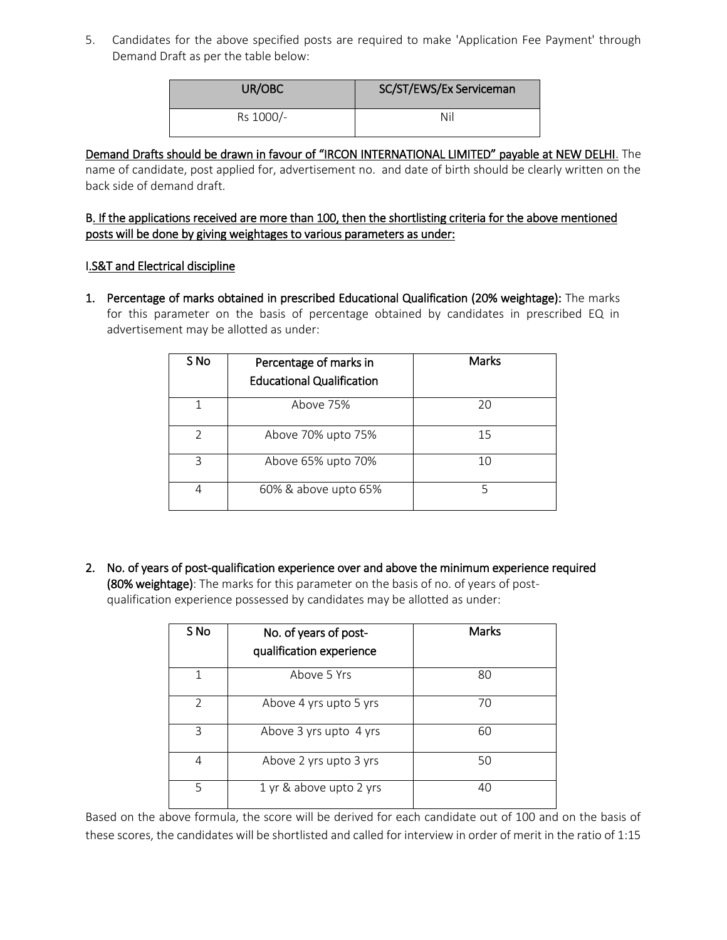5. Candidates for the above specified posts are required to make 'Application Fee Payment' through Demand Draft as per the table below:

| UR/OBC    | SC/ST/EWS/Ex Serviceman |
|-----------|-------------------------|
| Rs 1000/- | Nil                     |

#### Demand Drafts should be drawn in favour of "IRCON INTERNATIONAL LIMITED" payable at NEW DELHI. The name of candidate, post applied for, advertisement no. and date of birth should be clearly written on the back side of demand draft.

## B. If the applications received are more than 100, then the shortlisting criteria for the above mentioned posts will be done by giving weightages to various parameters as under:

## I.S&T and Electrical discipline

1. Percentage of marks obtained in prescribed Educational Qualification (20% weightage): The marks for this parameter on the basis of percentage obtained by candidates in prescribed EQ in advertisement may be allotted as under:

| S No          | Percentage of marks in<br><b>Educational Qualification</b> | <b>Marks</b> |
|---------------|------------------------------------------------------------|--------------|
| 1             | Above 75%                                                  | 20           |
| $\mathcal{P}$ | Above 70% upto 75%                                         | 15           |
| 3             | Above 65% upto 70%                                         | 10           |
|               | 60% & above upto 65%                                       |              |

2. No. of years of post-qualification experience over and above the minimum experience required (80% weightage): The marks for this parameter on the basis of no. of years of postqualification experience possessed by candidates may be allotted as under:

| S No          | No. of years of post-<br>qualification experience | <b>Marks</b> |
|---------------|---------------------------------------------------|--------------|
|               | Above 5 Yrs                                       | 80           |
| $\mathcal{P}$ | Above 4 yrs upto 5 yrs                            | 70           |
| 3             | Above 3 yrs upto 4 yrs                            | 60           |
| 4             | Above 2 yrs upto 3 yrs                            | 50           |
| 5             | 1 yr & above upto 2 yrs                           | 40           |

Based on the above formula, the score will be derived for each candidate out of 100 and on the basis of these scores, the candidates will be shortlisted and called for interview in order of merit in the ratio of 1:15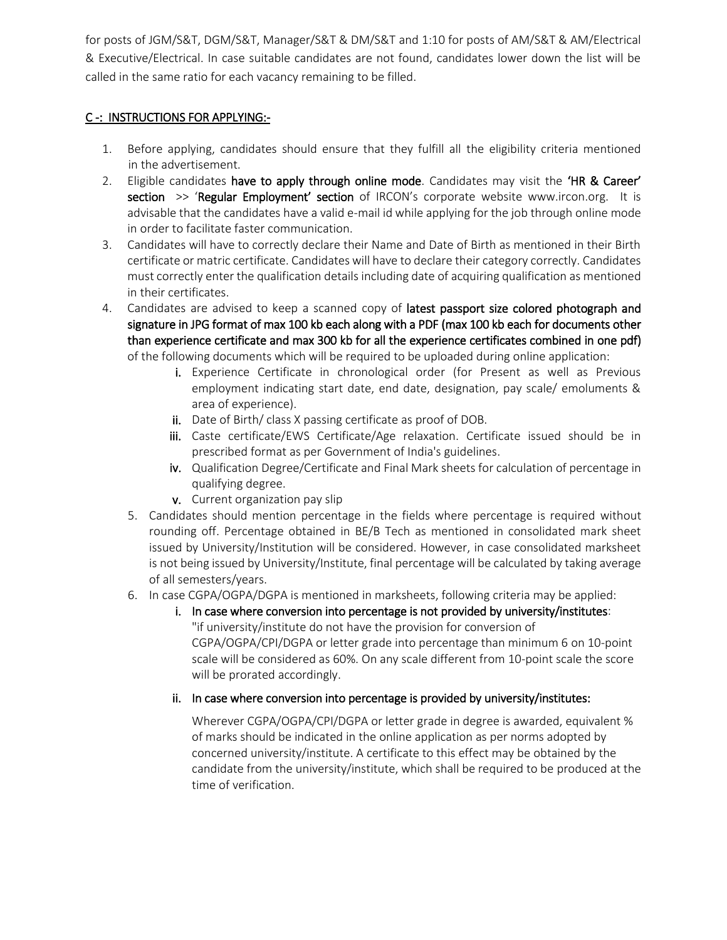for posts of JGM/S&T, DGM/S&T, Manager/S&T & DM/S&T and 1:10 for posts of AM/S&T & AM/Electrical & Executive/Electrical. In case suitable candidates are not found, candidates lower down the list will be called in the same ratio for each vacancy remaining to be filled.

# C -: INSTRUCTIONS FOR APPLYING:-

- 1. Before applying, candidates should ensure that they fulfill all the eligibility criteria mentioned in the advertisement.
- 2. Eligible candidates have to apply through online mode. Candidates may visit the 'HR & Career' **section >> 'Regular Employment' section** of IRCON's corporate website www.ircon.org. It is advisable that the candidates have a valid e-mail id while applying for the job through online mode in order to facilitate faster communication.
- 3. Candidates will have to correctly declare their Name and Date of Birth as mentioned in their Birth certificate or matric certificate. Candidates will have to declare their category correctly. Candidates must correctly enter the qualification details including date of acquiring qualification as mentioned in their certificates.
- 4. Candidates are advised to keep a scanned copy of latest passport size colored photograph and signature in JPG format of max 100 kb each along with a PDF (max 100 kb each for documents other than experience certificate and max 300 kb for all the experience certificates combined in one pdf) of the following documents which will be required to be uploaded during online application:
	- i. Experience Certificate in chronological order (for Present as well as Previous employment indicating start date, end date, designation, pay scale/ emoluments & area of experience).
	- ii. Date of Birth/ class X passing certificate as proof of DOB.
	- iii. Caste certificate/EWS Certificate/Age relaxation. Certificate issued should be in prescribed format as per Government of India's guidelines.
	- iv. Qualification Degree/Certificate and Final Mark sheets for calculation of percentage in qualifying degree.
	- v. Current organization pay slip
	- 5. Candidates should mention percentage in the fields where percentage is required without rounding off. Percentage obtained in BE/B Tech as mentioned in consolidated mark sheet issued by University/Institution will be considered. However, in case consolidated marksheet is not being issued by University/Institute, final percentage will be calculated by taking average of all semesters/years.
	- 6. In case CGPA/OGPA/DGPA is mentioned in marksheets, following criteria may be applied:
		- i. In case where conversion into percentage is not provided by university/institutes: "if university/institute do not have the provision for conversion of CGPA/OGPA/CPI/DGPA or letter grade into percentage than minimum 6 on 10-point scale will be considered as 60%. On any scale different from 10-point scale the score will be prorated accordingly.

## ii. In case where conversion into percentage is provided by university/institutes:

Wherever CGPA/OGPA/CPI/DGPA or letter grade in degree is awarded, equivalent % of marks should be indicated in the online application as per norms adopted by concerned university/institute. A certificate to this effect may be obtained by the candidate from the university/institute, which shall be required to be produced at the time of verification.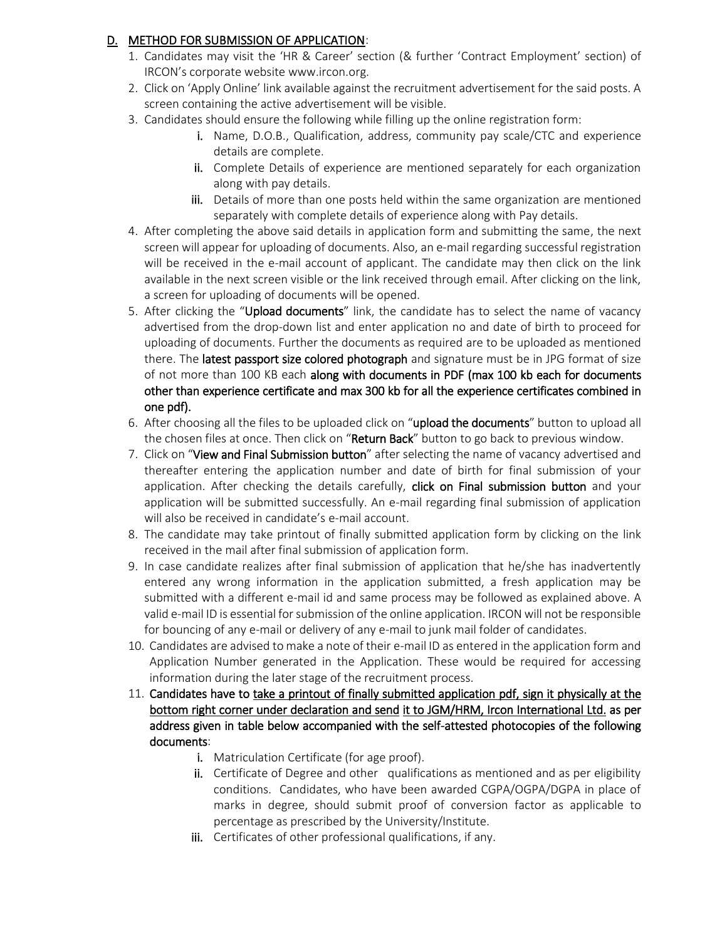## D. METHOD FOR SUBMISSION OF APPLICATION:

- 1. Candidates may visit the 'HR & Career' section (& further 'Contract Employment' section) of IRCON's corporate website [www.ircon.org.](http://www.ircon.org/)
- 2. Click on 'Apply Online' link available against the recruitment advertisement for the said posts. A screen containing the active advertisement will be visible.
- 3. Candidates should ensure the following while filling up the online registration form:
	- i. Name, D.O.B., Qualification, address, community pay scale/CTC and experience details are complete.
	- ii. Complete Details of experience are mentioned separately for each organization along with pay details.
	- iii. Details of more than one posts held within the same organization are mentioned separately with complete details of experience along with Pay details.
- 4. After completing the above said details in application form and submitting the same, the next screen will appear for uploading of documents. Also, an e-mail regarding successful registration will be received in the e-mail account of applicant. The candidate may then click on the link available in the next screen visible or the link received through email. After clicking on the link, a screen for uploading of documents will be opened.
- 5. After clicking the "Upload documents" link, the candidate has to select the name of vacancy advertised from the drop-down list and enter application no and date of birth to proceed for uploading of documents. Further the documents as required are to be uploaded as mentioned there. The latest passport size colored photograph and signature must be in JPG format of size of not more than 100 KB each along with documents in PDF (max 100 kb each for documents other than experience certificate and max 300 kb for all the experience certificates combined in one pdf).
- 6. After choosing all the files to be uploaded click on "upload the documents" button to upload all the chosen files at once. Then click on "Return Back" button to go back to previous window.
- 7. Click on "View and Final Submission button" after selecting the name of vacancy advertised and thereafter entering the application number and date of birth for final submission of your application. After checking the details carefully, click on Final submission button and your application will be submitted successfully. An e-mail regarding final submission of application will also be received in candidate's e-mail account.
- 8. The candidate may take printout of finally submitted application form by clicking on the link received in the mail after final submission of application form.
- 9. In case candidate realizes after final submission of application that he/she has inadvertently entered any wrong information in the application submitted, a fresh application may be submitted with a different e-mail id and same process may be followed as explained above. A valid e-mail ID is essential for submission of the online application. IRCON will not be responsible for bouncing of any e-mail or delivery of any e-mail to junk mail folder of candidates.
- 10. Candidates are advised to make a note of their e-mail ID as entered in the application form and Application Number generated in the Application. These would be required for accessing information during the later stage of the recruitment process.
- 11. Candidates have to take a printout of finally submitted application pdf, sign it physically at the bottom right corner under declaration and send it to JGM/HRM, Ircon International Ltd. as per address given in table below accompanied with the self-attested photocopies of the following documents:
	- i. Matriculation Certificate (for age proof).
	- ii. Certificate of Degree and other qualifications as mentioned and as per eligibility conditions. Candidates, who have been awarded CGPA/OGPA/DGPA in place of marks in degree, should submit proof of conversion factor as applicable to percentage as prescribed by the University/Institute.
	- iii. Certificates of other professional qualifications, if any.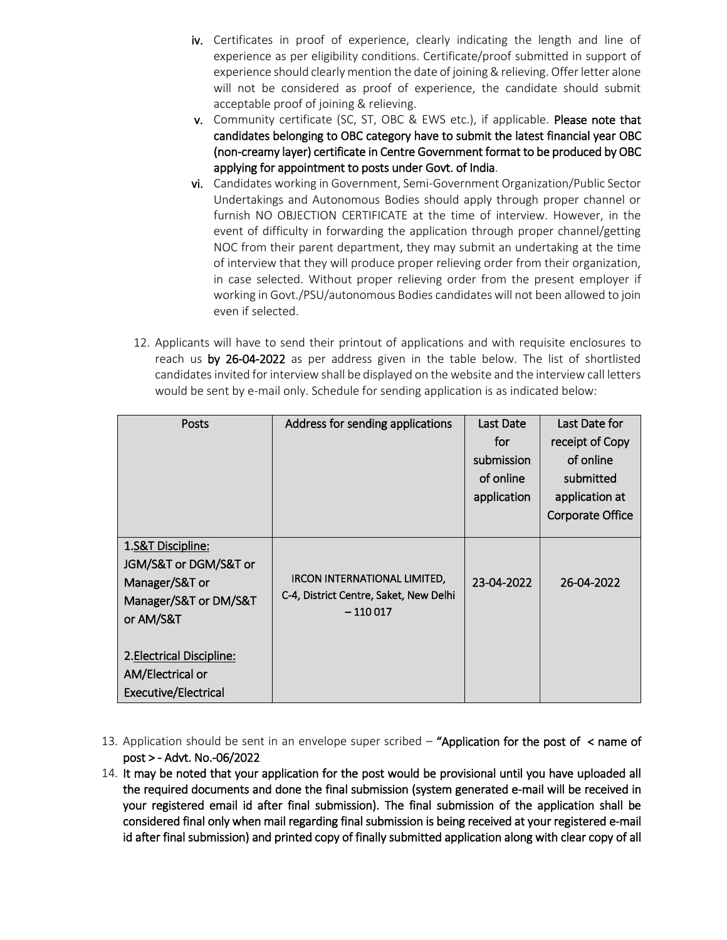- iv. Certificates in proof of experience, clearly indicating the length and line of experience as per eligibility conditions. Certificate/proof submitted in support of experience should clearly mention the date of joining & relieving. Offer letter alone will not be considered as proof of experience, the candidate should submit acceptable proof of joining & relieving.
- v. Community certificate (SC, ST, OBC & EWS etc.), if applicable. Please note that candidates belonging to OBC category have to submit the latest financial year OBC (non-creamy layer) certificate in Centre Government format to be produced by OBC applying for appointment to posts under Govt. of India.
- vi. Candidates working in Government, Semi-Government Organization/Public Sector Undertakings and Autonomous Bodies should apply through proper channel or furnish NO OBJECTION CERTIFICATE at the time of interview. However, in the event of difficulty in forwarding the application through proper channel/getting NOC from their parent department, they may submit an undertaking at the time of interview that they will produce proper relieving order from their organization, in case selected. Without proper relieving order from the present employer if working in Govt./PSU/autonomous Bodies candidates will not been allowed to join even if selected.
- 12. Applicants will have to send their printout of applications and with requisite enclosures to reach us by 26-04-2022 as per address given in the table below. The list of shortlisted candidates invited for interview shall be displayed on the website and the interview call letters would be sent by e-mail only. Schedule for sending application is as indicated below:

| Posts                                                                                              | Address for sending applications                                                    | <b>Last Date</b> | Last Date for    |
|----------------------------------------------------------------------------------------------------|-------------------------------------------------------------------------------------|------------------|------------------|
|                                                                                                    |                                                                                     | for              | receipt of Copy  |
|                                                                                                    |                                                                                     | submission       | of online        |
|                                                                                                    |                                                                                     | of online        | submitted        |
|                                                                                                    |                                                                                     | application      | application at   |
|                                                                                                    |                                                                                     |                  | Corporate Office |
| 1.S&T Discipline:<br>JGM/S&T or DGM/S&T or<br>Manager/S&T or<br>Manager/S&T or DM/S&T<br>or AM/S&T | IRCON INTERNATIONAL LIMITED,<br>C-4, District Centre, Saket, New Delhi<br>$-110017$ | 23-04-2022       | 26-04-2022       |
| 2. Electrical Discipline:<br>AM/Electrical or<br><b>Executive/Electrical</b>                       |                                                                                     |                  |                  |

- 13. Application should be sent in an envelope super scribed  $-$  "Application for the post of  $\leq$  name of post > - Advt. No.-06/2022
- 14. It may be noted that your application for the post would be provisional until you have uploaded all the required documents and done the final submission (system generated e-mail will be received in your registered email id after final submission). The final submission of the application shall be considered final only when mail regarding final submission is being received at your registered e-mail id after final submission) and printed copy of finally submitted application along with clear copy of all